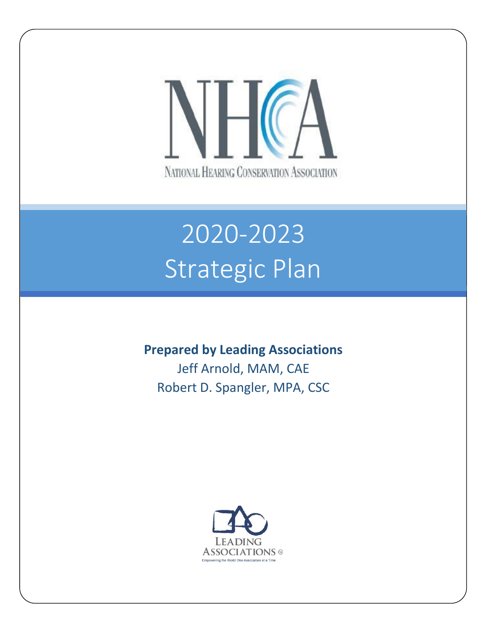

# 2020-2023 Strategic Plan

### **Prepared by Leading Associations**

Jeff Arnold, MAM, CAE Robert D. Spangler, MPA, CSC

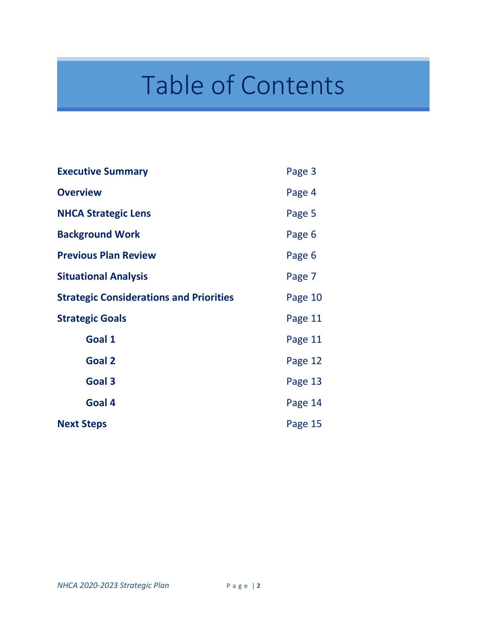# Table of Contents

| <b>Executive Summary</b>                       | Page 3  |
|------------------------------------------------|---------|
| <b>Overview</b>                                | Page 4  |
| <b>NHCA Strategic Lens</b>                     | Page 5  |
| <b>Background Work</b>                         | Page 6  |
| <b>Previous Plan Review</b>                    | Page 6  |
| <b>Situational Analysis</b>                    | Page 7  |
| <b>Strategic Considerations and Priorities</b> | Page 10 |
| <b>Strategic Goals</b>                         | Page 11 |
| Goal 1                                         | Page 11 |
| <b>Goal 2</b>                                  | Page 12 |
| Goal 3                                         | Page 13 |
| Goal 4                                         | Page 14 |
| <b>Next Steps</b>                              | Page 15 |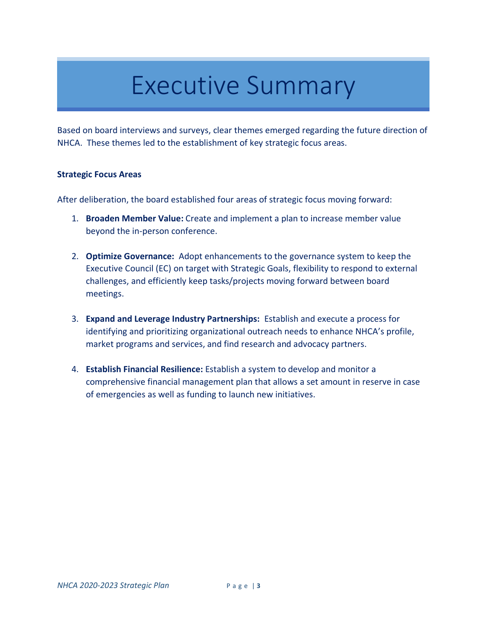### Executive Summary

Based on board interviews and surveys, clear themes emerged regarding the future direction of NHCA. These themes led to the establishment of key strategic focus areas.

#### **Strategic Focus Areas**

After deliberation, the board established four areas of strategic focus moving forward:

- 1. **Broaden Member Value:** Create and implement a plan to increase member value beyond the in-person conference.
- 2. **Optimize Governance:** Adopt enhancements to the governance system to keep the Executive Council (EC) on target with Strategic Goals, flexibility to respond to external challenges, and efficiently keep tasks/projects moving forward between board meetings.
- 3. **Expand and Leverage Industry Partnerships:** Establish and execute a process for identifying and prioritizing organizational outreach needs to enhance NHCA's profile, market programs and services, and find research and advocacy partners.
- 4. **Establish Financial Resilience:** Establish a system to develop and monitor a comprehensive financial management plan that allows a set amount in reserve in case of emergencies as well as funding to launch new initiatives.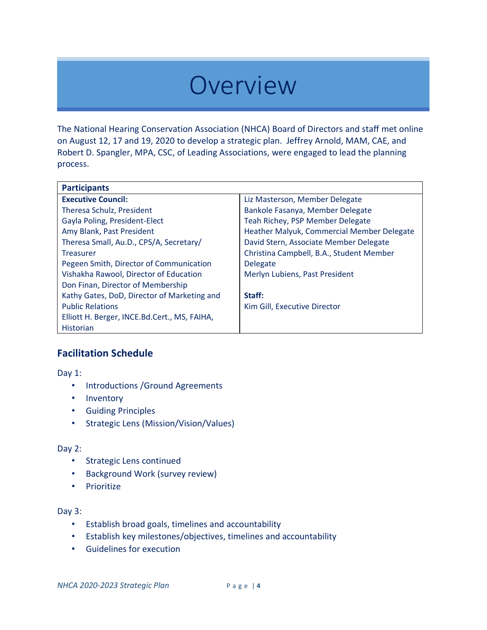### **Overview**

The National Hearing Conservation Association (NHCA) Board of Directors and staff met online on August 12, 17 and 19, 2020 to develop a strategic plan. Jeffrey Arnold, MAM, CAE, and Robert D. Spangler, MPA, CSC, of Leading Associations, were engaged to lead the planning process.

| <b>Participants</b>                          |                                            |
|----------------------------------------------|--------------------------------------------|
| <b>Executive Council:</b>                    | Liz Masterson, Member Delegate             |
| <b>Theresa Schulz, President</b>             | Bankole Fasanya, Member Delegate           |
| Gayla Poling, President-Elect                | Teah Richey, PSP Member Delegate           |
| Amy Blank, Past President                    | Heather Malyuk, Commercial Member Delegate |
| Theresa Small, Au.D., CPS/A, Secretary/      | David Stern, Associate Member Delegate     |
| <b>Treasurer</b>                             | Christina Campbell, B.A., Student Member   |
| Pegeen Smith, Director of Communication      | <b>Delegate</b>                            |
| Vishakha Rawool, Director of Education       | Merlyn Lubiens, Past President             |
| Don Finan, Director of Membership            |                                            |
| Kathy Gates, DoD, Director of Marketing and  | Staff:                                     |
| <b>Public Relations</b>                      | Kim Gill, Executive Director               |
| Elliott H. Berger, INCE.Bd.Cert., MS, FAIHA, |                                            |
| <b>Historian</b>                             |                                            |

#### **Facilitation Schedule**

Day 1:

- Introductions /Ground Agreements
- Inventory
- Guiding Principles
- Strategic Lens (Mission/Vision/Values)

#### Day 2:

- Strategic Lens continued
- Background Work (survey review)
- Prioritize

#### Day 3:

- Establish broad goals, timelines and accountability
- Establish key milestones/objectives, timelines and accountability
- Guidelines for execution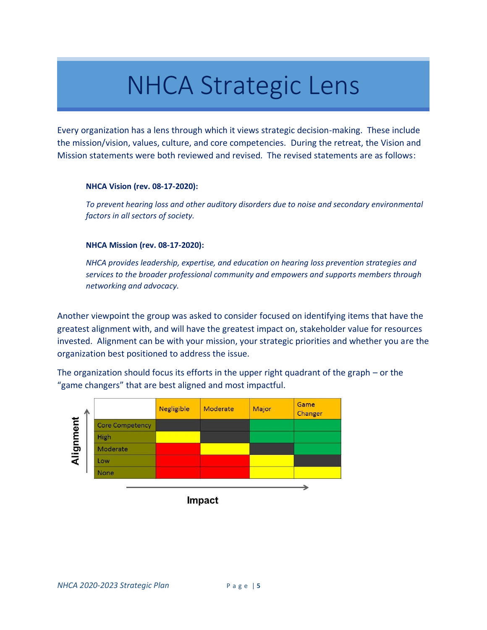## NHCA Strategic Lens

Every organization has a lens through which it views strategic decision-making. These include the mission/vision, values, culture, and core competencies. During the retreat, the Vision and Mission statements were both reviewed and revised. The revised statements are as follows:

#### **NHCA Vision (rev. 08-17-2020):**

*To prevent hearing loss and other auditory disorders due to noise and secondary environmental factors in all sectors of society.*

#### **NHCA Mission (rev. 08-17-2020):**

*NHCA provides leadership, expertise, and education on hearing loss prevention strategies and services to the broader professional community and empowers and supports members through networking and advocacy.*

Another viewpoint the group was asked to consider focused on identifying items that have the greatest alignment with, and will have the greatest impact on, stakeholder value for resources invested. Alignment can be with your mission, your strategic priorities and whether you are the organization best positioned to address the issue.

The organization should focus its efforts in the upper right quadrant of the graph – or the "game changers" that are best aligned and most impactful.

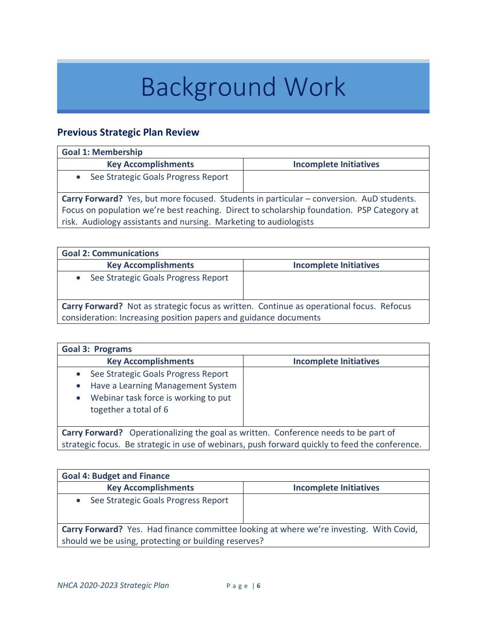# Background Work

### **Previous Strategic Plan Review**

| <b>Goal 1: Membership</b>                                                                                                                                                                                                                                   |                               |  |
|-------------------------------------------------------------------------------------------------------------------------------------------------------------------------------------------------------------------------------------------------------------|-------------------------------|--|
| <b>Key Accomplishments</b>                                                                                                                                                                                                                                  | <b>Incomplete Initiatives</b> |  |
| See Strategic Goals Progress Report                                                                                                                                                                                                                         |                               |  |
| Carry Forward? Yes, but more focused. Students in particular – conversion. AuD students.<br>Focus on population we're best reaching. Direct to scholarship foundation. PSP Category at<br>risk. Audiology assistants and nursing. Marketing to audiologists |                               |  |

| <b>Goal 2: Communications</b>                                                                                                                                       |                               |  |
|---------------------------------------------------------------------------------------------------------------------------------------------------------------------|-------------------------------|--|
| <b>Key Accomplishments</b>                                                                                                                                          | <b>Incomplete Initiatives</b> |  |
| See Strategic Goals Progress Report                                                                                                                                 |                               |  |
| <b>Carry Forward?</b> Not as strategic focus as written. Continue as operational focus. Refocus<br>consideration: Increasing position papers and guidance documents |                               |  |

| <b>Goal 3: Programs</b>                                                                                                                   |                               |  |
|-------------------------------------------------------------------------------------------------------------------------------------------|-------------------------------|--|
| <b>Key Accomplishments</b>                                                                                                                | <b>Incomplete Initiatives</b> |  |
| See Strategic Goals Progress Report<br>Have a Learning Management System<br>Webinar task force is working to put<br>together a total of 6 |                               |  |
| <b>Carry Forward?</b> Operationalizing the goal as written. Conference needs to be part of                                                |                               |  |
| strategic focus. Be strategic in use of webinars, push forward quickly to feed the conference.                                            |                               |  |

| <b>Goal 4: Budget and Finance</b>                                                              |                               |  |
|------------------------------------------------------------------------------------------------|-------------------------------|--|
| <b>Key Accomplishments</b>                                                                     | <b>Incomplete Initiatives</b> |  |
| See Strategic Goals Progress Report                                                            |                               |  |
| <b>Carry Forward?</b> Yes. Had finance committee looking at where we're investing. With Covid, |                               |  |
| should we be using, protecting or building reserves?                                           |                               |  |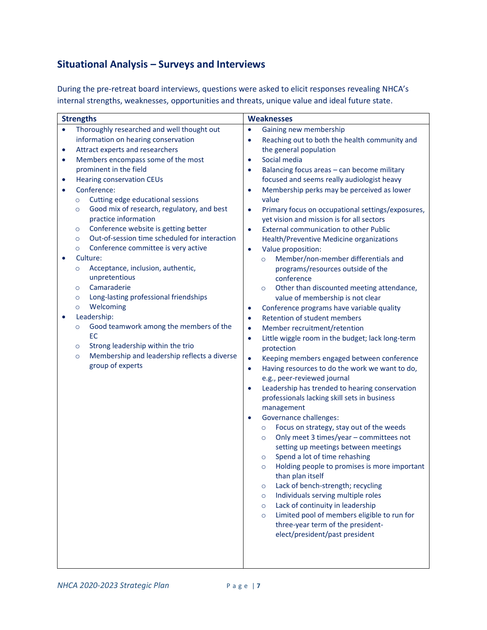### **Situational Analysis – Surveys and Interviews**

During the pre-retreat board interviews, questions were asked to elicit responses revealing NHCA's internal strengths, weaknesses, opportunities and threats, unique value and ideal future state.

| <b>Strengths</b> |                                                                                              | <b>Weaknesses</b> |                                                                                                |
|------------------|----------------------------------------------------------------------------------------------|-------------------|------------------------------------------------------------------------------------------------|
| $\bullet$        | Thoroughly researched and well thought out                                                   | $\bullet$         | Gaining new membership                                                                         |
|                  | information on hearing conservation                                                          | $\bullet$         | Reaching out to both the health community and                                                  |
| $\bullet$        | Attract experts and researchers                                                              |                   | the general population                                                                         |
| $\bullet$        | Members encompass some of the most                                                           | $\bullet$         | Social media                                                                                   |
|                  | prominent in the field                                                                       | $\bullet$         | Balancing focus areas - can become military                                                    |
| $\bullet$        | <b>Hearing conservation CEUs</b>                                                             |                   | focused and seems really audiologist heavy                                                     |
|                  | Conference:                                                                                  | $\bullet$         | Membership perks may be perceived as lower                                                     |
|                  | Cutting edge educational sessions<br>$\circ$                                                 |                   | value                                                                                          |
|                  | Good mix of research, regulatory, and best<br>$\circ$<br>practice information                | $\bullet$         | Primary focus on occupational settings/exposures,<br>yet vision and mission is for all sectors |
|                  | Conference website is getting better<br>$\circ$                                              | $\bullet$         | <b>External communication to other Public</b>                                                  |
|                  | Out-of-session time scheduled for interaction<br>$\circ$                                     |                   | Health/Preventive Medicine organizations                                                       |
|                  | Conference committee is very active<br>$\circ$                                               | $\bullet$         | Value proposition:                                                                             |
| $\bullet$        | Culture:                                                                                     |                   | Member/non-member differentials and<br>$\circ$                                                 |
|                  | Acceptance, inclusion, authentic,<br>$\circ$                                                 |                   | programs/resources outside of the                                                              |
|                  | unpretentious                                                                                |                   | conference                                                                                     |
|                  | Camaraderie<br>$\circ$                                                                       |                   | Other than discounted meeting attendance,<br>$\circ$                                           |
|                  | Long-lasting professional friendships<br>$\circ$                                             |                   | value of membership is not clear                                                               |
|                  | Welcoming<br>$\circ$                                                                         | $\bullet$         | Conference programs have variable quality                                                      |
|                  | Leadership:                                                                                  | $\bullet$         | Retention of student members                                                                   |
|                  | Good teamwork among the members of the<br>$\circ$                                            | $\bullet$         | Member recruitment/retention                                                                   |
|                  | EC                                                                                           | $\bullet$         | Little wiggle room in the budget; lack long-term                                               |
|                  | Strong leadership within the trio<br>$\circ$<br>Membership and leadership reflects a diverse |                   | protection                                                                                     |
|                  | $\circ$<br>group of experts                                                                  | $\bullet$         | Keeping members engaged between conference                                                     |
|                  |                                                                                              | $\bullet$         | Having resources to do the work we want to do,<br>e.g., peer-reviewed journal                  |
|                  |                                                                                              | $\bullet$         | Leadership has trended to hearing conservation                                                 |
|                  |                                                                                              |                   | professionals lacking skill sets in business                                                   |
|                  |                                                                                              |                   | management                                                                                     |
|                  |                                                                                              | $\bullet$         | <b>Governance challenges:</b>                                                                  |
|                  |                                                                                              |                   | Focus on strategy, stay out of the weeds<br>$\circ$                                            |
|                  |                                                                                              |                   | Only meet 3 times/year - committees not<br>$\circ$                                             |
|                  |                                                                                              |                   | setting up meetings between meetings                                                           |
|                  |                                                                                              |                   | Spend a lot of time rehashing<br>$\circ$                                                       |
|                  |                                                                                              |                   | Holding people to promises is more important<br>$\circ$                                        |
|                  |                                                                                              |                   | than plan itself                                                                               |
|                  |                                                                                              |                   | Lack of bench-strength; recycling<br>$\circ$                                                   |
|                  |                                                                                              |                   | Individuals serving multiple roles<br>$\circ$                                                  |
|                  |                                                                                              |                   | Lack of continuity in leadership<br>$\circ$                                                    |
|                  |                                                                                              |                   | Limited pool of members eligible to run for<br>$\circ$<br>three-year term of the president-    |
|                  |                                                                                              |                   | elect/president/past president                                                                 |
|                  |                                                                                              |                   |                                                                                                |
|                  |                                                                                              |                   |                                                                                                |
|                  |                                                                                              |                   |                                                                                                |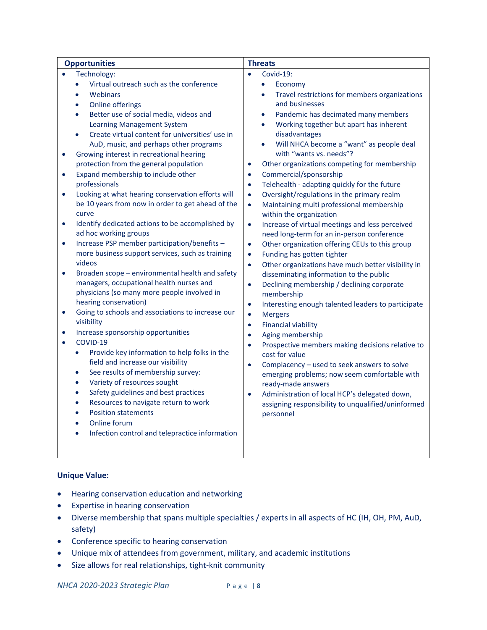| <b>Opportunities</b>                                                                                                                                                                                                                                                                                                                                                                                                                                                                                                                                                                                                                                                                                                                                                                                                                                                                                                                                                                                                                                                                                                                                                                                                                                                                                                                                                                                                                                                                                                                                                                                                                                                    | <b>Threats</b>                                                                                                                                                                                                                                                                                                                                                                                                                                                                                                                                                                                                                                                                                                                                                                                                                                                                                                                                                                                                                                                                                                                                                                                                                                                                                                                                                                                                                                                                                                                                                                                         |  |
|-------------------------------------------------------------------------------------------------------------------------------------------------------------------------------------------------------------------------------------------------------------------------------------------------------------------------------------------------------------------------------------------------------------------------------------------------------------------------------------------------------------------------------------------------------------------------------------------------------------------------------------------------------------------------------------------------------------------------------------------------------------------------------------------------------------------------------------------------------------------------------------------------------------------------------------------------------------------------------------------------------------------------------------------------------------------------------------------------------------------------------------------------------------------------------------------------------------------------------------------------------------------------------------------------------------------------------------------------------------------------------------------------------------------------------------------------------------------------------------------------------------------------------------------------------------------------------------------------------------------------------------------------------------------------|--------------------------------------------------------------------------------------------------------------------------------------------------------------------------------------------------------------------------------------------------------------------------------------------------------------------------------------------------------------------------------------------------------------------------------------------------------------------------------------------------------------------------------------------------------------------------------------------------------------------------------------------------------------------------------------------------------------------------------------------------------------------------------------------------------------------------------------------------------------------------------------------------------------------------------------------------------------------------------------------------------------------------------------------------------------------------------------------------------------------------------------------------------------------------------------------------------------------------------------------------------------------------------------------------------------------------------------------------------------------------------------------------------------------------------------------------------------------------------------------------------------------------------------------------------------------------------------------------------|--|
| Technology:<br>Virtual outreach such as the conference<br>$\bullet$<br>Webinars<br>$\bullet$<br><b>Online offerings</b><br>$\bullet$<br>Better use of social media, videos and<br>$\bullet$<br><b>Learning Management System</b><br>Create virtual content for universities' use in<br>$\bullet$<br>AuD, music, and perhaps other programs<br>Growing interest in recreational hearing<br>$\bullet$<br>protection from the general population<br>Expand membership to include other<br>$\bullet$<br>professionals<br>Looking at what hearing conservation efforts will<br>$\bullet$<br>be 10 years from now in order to get ahead of the<br>curve<br>Identify dedicated actions to be accomplished by<br>$\bullet$<br>ad hoc working groups<br>Increase PSP member participation/benefits -<br>$\bullet$<br>more business support services, such as training<br>videos<br>Broaden scope - environmental health and safety<br>$\bullet$<br>managers, occupational health nurses and<br>physicians (so many more people involved in<br>hearing conservation)<br>Going to schools and associations to increase our<br>$\bullet$<br>visibility<br>Increase sponsorship opportunities<br>$\bullet$<br>COVID-19<br>$\bullet$<br>Provide key information to help folks in the<br>$\bullet$<br>field and increase our visibility<br>See results of membership survey:<br>$\bullet$<br>Variety of resources sought<br>$\bullet$<br>Safety guidelines and best practices<br>$\bullet$<br>Resources to navigate return to work<br>$\bullet$<br><b>Position statements</b><br>$\bullet$<br>Online forum<br>$\bullet$<br>Infection control and telepractice information<br>$\bullet$ | Covid-19:<br>Economy<br>$\bullet$<br>Travel restrictions for members organizations<br>$\bullet$<br>and businesses<br>Pandemic has decimated many members<br>$\bullet$<br>Working together but apart has inherent<br>$\bullet$<br>disadvantages<br>Will NHCA become a "want" as people deal<br>$\bullet$<br>with "wants vs. needs"?<br>Other organizations competing for membership<br>$\bullet$<br>Commercial/sponsorship<br>$\bullet$<br>Telehealth - adapting quickly for the future<br>$\bullet$<br>Oversight/regulations in the primary realm<br>$\bullet$<br>Maintaining multi professional membership<br>$\bullet$<br>within the organization<br>Increase of virtual meetings and less perceived<br>$\bullet$<br>need long-term for an in-person conference<br>Other organization offering CEUs to this group<br>$\bullet$<br>Funding has gotten tighter<br>$\bullet$<br>Other organizations have much better visibility in<br>$\bullet$<br>disseminating information to the public<br>Declining membership / declining corporate<br>$\bullet$<br>membership<br>Interesting enough talented leaders to participate<br>$\bullet$<br><b>Mergers</b><br>$\bullet$<br><b>Financial viability</b><br>$\bullet$<br>Aging membership<br>$\bullet$<br>Prospective members making decisions relative to<br>$\bullet$<br>cost for value<br>Complacency - used to seek answers to solve<br>$\bullet$<br>emerging problems; now seem comfortable with<br>ready-made answers<br>Administration of local HCP's delegated down,<br>$\bullet$<br>assigning responsibility to unqualified/uninformed<br>personnel |  |
|                                                                                                                                                                                                                                                                                                                                                                                                                                                                                                                                                                                                                                                                                                                                                                                                                                                                                                                                                                                                                                                                                                                                                                                                                                                                                                                                                                                                                                                                                                                                                                                                                                                                         |                                                                                                                                                                                                                                                                                                                                                                                                                                                                                                                                                                                                                                                                                                                                                                                                                                                                                                                                                                                                                                                                                                                                                                                                                                                                                                                                                                                                                                                                                                                                                                                                        |  |

#### **Unique Value:**

- Hearing conservation education and networking
- Expertise in hearing conservation
- Diverse membership that spans multiple specialties / experts in all aspects of HC (IH, OH, PM, AuD, safety)
- Conference specific to hearing conservation
- Unique mix of attendees from government, military, and academic institutions
- Size allows for real relationships, tight-knit community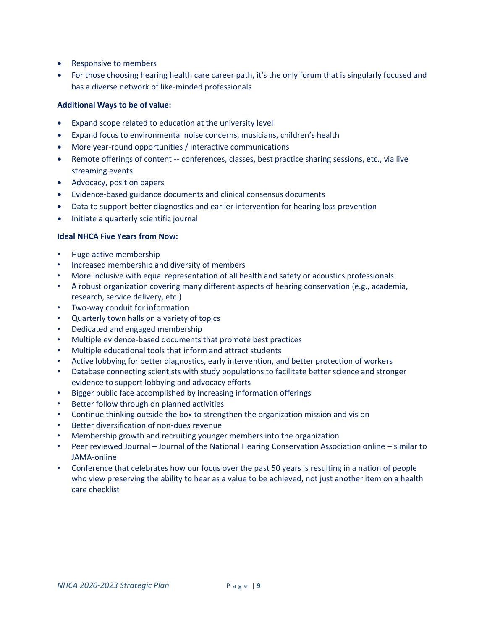- Responsive to members
- For those choosing hearing health care career path, it's the only forum that is singularly focused and has a diverse network of like-minded professionals

#### **Additional Ways to be of value:**

- Expand scope related to education at the university level
- Expand focus to environmental noise concerns, musicians, children's health
- More year-round opportunities / interactive communications
- Remote offerings of content -- conferences, classes, best practice sharing sessions, etc., via live streaming events
- Advocacy, position papers
- Evidence-based guidance documents and clinical consensus documents
- Data to support better diagnostics and earlier intervention for hearing loss prevention
- Initiate a quarterly scientific journal

#### **Ideal NHCA Five Years from Now:**

- Huge active membership
- Increased membership and diversity of members
- More inclusive with equal representation of all health and safety or acoustics professionals
- A robust organization covering many different aspects of hearing conservation (e.g., academia, research, service delivery, etc.)
- Two-way conduit for information
- Quarterly town halls on a variety of topics
- Dedicated and engaged membership
- Multiple evidence-based documents that promote best practices
- Multiple educational tools that inform and attract students
- Active lobbying for better diagnostics, early intervention, and better protection of workers
- Database connecting scientists with study populations to facilitate better science and stronger evidence to support lobbying and advocacy efforts
- Bigger public face accomplished by increasing information offerings
- Better follow through on planned activities
- Continue thinking outside the box to strengthen the organization mission and vision
- Better diversification of non-dues revenue
- Membership growth and recruiting younger members into the organization
- Peer reviewed Journal Journal of the National Hearing Conservation Association online similar to JAMA-online
- Conference that celebrates how our focus over the past 50 years is resulting in a nation of people who view preserving the ability to hear as a value to be achieved, not just another item on a health care checklist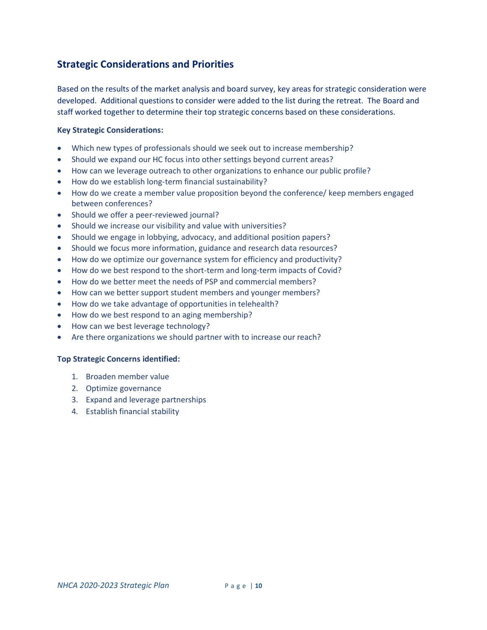#### **Strategic Considerations and Priorities**

Based on the results of the market analysis and board survey, key areas for strategic consideration were developed. Additional questions to consider were added to the list during the retreat. The Board and staff worked together to determine their top strategic concerns based on these considerations.

#### **Key Strategic Considerations:**

- Which new types of professionals should we seek out to increase membership?
- Should we expand our HC focus into other settings beyond current areas?
- How can we leverage outreach to other organizations to enhance our public profile?
- How do we establish long-term financial sustainability?
- How do we create a member value proposition beyond the conference/ keep members engaged between conferences?
- Should we offer a peer-reviewed journal?
- Should we increase our visibility and value with universities?
- Should we engage in lobbying, advocacy, and additional position papers?
- Should we focus more information, guidance and research data resources?
- How do we optimize our governance system for efficiency and productivity?
- How do we best respond to the short-term and long-term impacts of Covid?
- How do we better meet the needs of PSP and commercial members?
- How can we better support student members and younger members?
- How do we take advantage of opportunities in telehealth?
- How do we best respond to an aging membership?
- How can we best leverage technology?
- Are there organizations we should partner with to increase our reach?

#### **Top Strategic Concerns identified:**

- 1. Broaden member value
- 2. Optimize governance
- 3. Expand and leverage partnerships
- 4. Establish financial stability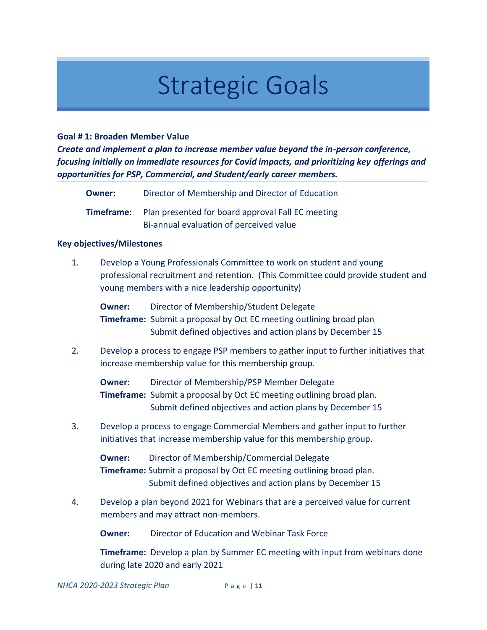# Strategic Goals

#### **Goal # 1: Broaden Member Value**

*Create and implement a plan to increase member value beyond the in-person conference, focusing initially on immediate resources for Covid impacts, and prioritizing key offerings and opportunities for PSP, Commercial, and Student/early career members.*

| <b>Owner:</b> | Director of Membership and Director of Education |
|---------------|--------------------------------------------------|
|               |                                                  |

**Timeframe:** Plan presented for board approval Fall EC meeting Bi-annual evaluation of perceived value

#### **Key objectives/Milestones**

1. Develop a Young Professionals Committee to work on student and young professional recruitment and retention. (This Committee could provide student and young members with a nice leadership opportunity)

**Owner:** Director of Membership/Student Delegate **Timeframe:** Submit a proposal by Oct EC meeting outlining broad plan Submit defined objectives and action plans by December 15

2. Develop a process to engage PSP members to gather input to further initiatives that increase membership value for this membership group.

**Owner:** Director of Membership/PSP Member Delegate **Timeframe:** Submit a proposal by Oct EC meeting outlining broad plan. Submit defined objectives and action plans by December 15

3. Develop a process to engage Commercial Members and gather input to further initiatives that increase membership value for this membership group.

**Owner:** Director of Membership/Commercial Delegate **Timeframe:** Submit a proposal by Oct EC meeting outlining broad plan. Submit defined objectives and action plans by December 15

4. Develop a plan beyond 2021 for Webinars that are a perceived value for current members and may attract non-members.

**Owner:** Director of Education and Webinar Task Force

**Timeframe:** Develop a plan by Summer EC meeting with input from webinars done during late 2020 and early 2021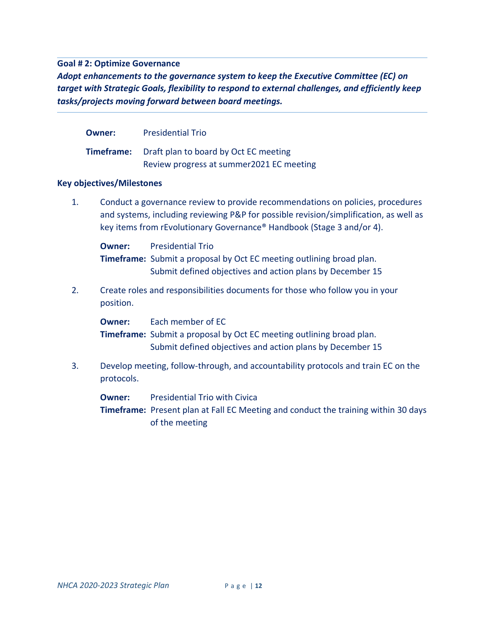#### **Goal # 2: Optimize Governance**

*Adopt enhancements to the governance system to keep the Executive Committee (EC) on target with Strategic Goals, flexibility to respond to external challenges, and efficiently keep tasks/projects moving forward between board meetings.*

|    | Owner:                                                                                                                                                                                                                                           | <b>Presidential Trio</b>                                                                                                                                             |
|----|--------------------------------------------------------------------------------------------------------------------------------------------------------------------------------------------------------------------------------------------------|----------------------------------------------------------------------------------------------------------------------------------------------------------------------|
|    | <b>Timeframe:</b>                                                                                                                                                                                                                                | Draft plan to board by Oct EC meeting<br>Review progress at summer2021 EC meeting                                                                                    |
|    | <b>Key objectives/Milestones</b>                                                                                                                                                                                                                 |                                                                                                                                                                      |
| 1. | Conduct a governance review to provide recommendations on policies, procedures<br>and systems, including reviewing P&P for possible revision/simplification, as well as<br>key items from rEvolutionary Governance® Handbook (Stage 3 and/or 4). |                                                                                                                                                                      |
|    | <b>Owner:</b>                                                                                                                                                                                                                                    | <b>Presidential Trio</b><br><b>Timeframe:</b> Submit a proposal by Oct EC meeting outlining broad plan.<br>Submit defined objectives and action plans by December 15 |
| 2. | position.                                                                                                                                                                                                                                        | Create roles and responsibilities documents for those who follow you in your                                                                                         |
|    | Owner:                                                                                                                                                                                                                                           | Each member of EC<br>Timeframe: Submit a proposal by Oct EC meeting outlining broad plan.<br>Submit defined objectives and action plans by December 15               |
| 3. | protocols.                                                                                                                                                                                                                                       | Develop meeting, follow-through, and accountability protocols and train EC on the                                                                                    |
|    | <b>Owner:</b>                                                                                                                                                                                                                                    | <b>Presidential Trio with Civica</b><br><b>Timeframe:</b> Present plan at Fall EC Meeting and conduct the training within 30 days<br>of the meeting                  |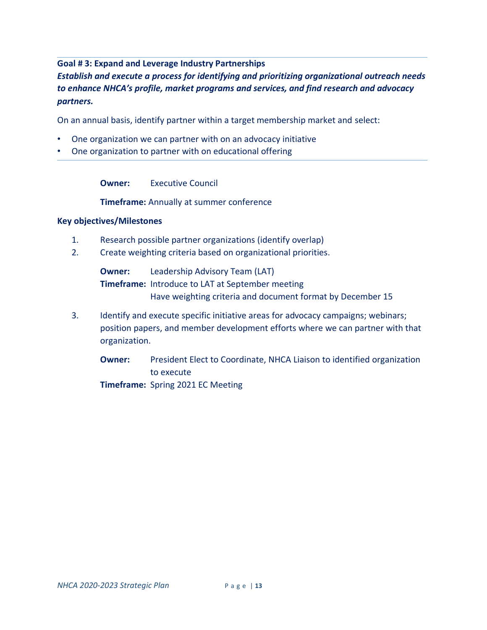#### **Goal # 3: Expand and Leverage Industry Partnerships**

#### *Establish and execute a process for identifying and prioritizing organizational outreach needs to enhance NHCA's profile, market programs and services, and find research and advocacy partners.*

On an annual basis, identify partner within a target membership market and select:

- One organization we can partner with on an advocacy initiative
- One organization to partner with on educational offering

**Owner:** Executive Council

**Timeframe:** Annually at summer conference

#### **Key objectives/Milestones**

- 1. Research possible partner organizations (identify overlap)
- 2. Create weighting criteria based on organizational priorities.

**Owner:** Leadership Advisory Team (LAT) **Timeframe:** Introduce to LAT at September meeting Have weighting criteria and document format by December 15

3. Identify and execute specific initiative areas for advocacy campaigns; webinars; position papers, and member development efforts where we can partner with that organization.

**Owner:** President Elect to Coordinate, NHCA Liaison to identified organization to execute **Timeframe:** Spring 2021 EC Meeting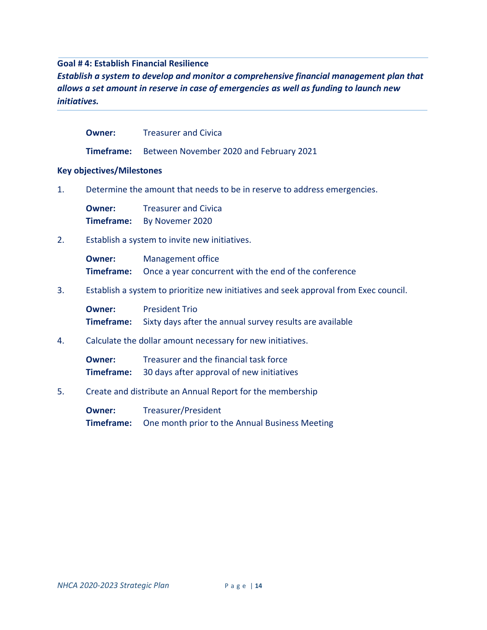#### **Goal # 4: Establish Financial Resilience**

*Establish a system to develop and monitor a comprehensive financial management plan that allows a set amount in reserve in case of emergencies as well as funding to launch new initiatives.*

| Owner: | <b>Treasurer and Civica</b> |
|--------|-----------------------------|
|--------|-----------------------------|

**Timeframe:** Between November 2020 and February 2021

#### **Key objectives/Milestones**

1. Determine the amount that needs to be in reserve to address emergencies.

**Owner:** Treasurer and Civica **Timeframe:** By Novemer 2020

2. Establish a system to invite new initiatives.

**Owner:** Management office **Timeframe:** Once a year concurrent with the end of the conference

3. Establish a system to prioritize new initiatives and seek approval from Exec council.

**Owner:** President Trio **Timeframe:** Sixty days after the annual survey results are available

4. Calculate the dollar amount necessary for new initiatives.

**Owner:** Treasurer and the financial task force **Timeframe:** 30 days after approval of new initiatives

5. Create and distribute an Annual Report for the membership

**Owner:** Treasurer/President **Timeframe:** One month prior to the Annual Business Meeting